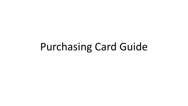# Purchasing Card Guide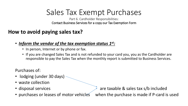## Sales Tax Exempt Purchases

Part 6. Cardholder Responsibilities: Contact Business Services for a copy our Tax Exemption Form

## **How to avoid paying sales tax?**

- *Inform the vendor of the tax exemption status 1st:* 
	- In person, Internet or by phone or fax.
	- If you are changed Sales Tax and is not refunded to your card you, you as the Cardholder are responsible to pay the Sales Tax when the monthly report is submitted to Business Services.

Purchases of:

- lodging (under 30 days)
- waste collection
- 
- 

• disposal services **are taxable & sales tax s/b included** • purchases or leases of motor vehicles when the purchase is made if P-card is used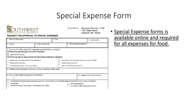## Special Expense Form



**Business Services, IL139** Return form to: 1501 State Street Marshall, MN 56258

#### **REQUEST FOR APPROVAL OF SPECIAL EXPENSES**

| 1. Name of Requester:                                                                                                                                                                                                                  |                     | 2. Title:                                                                                                              |                                                             | 3. Cost Center: |
|----------------------------------------------------------------------------------------------------------------------------------------------------------------------------------------------------------------------------------------|---------------------|------------------------------------------------------------------------------------------------------------------------|-------------------------------------------------------------|-----------------|
| 4. Phone:                                                                                                                                                                                                                              | 5. Date of Request: |                                                                                                                        | 6. Requesting Department:                                   |                 |
| 7. Expenses for which approval is requested (see instructions on page 2)<br>The following requires approval of the President:<br><b>International Travel</b><br>The following may be approved by the appointing authority or designee: |                     |                                                                                                                        |                                                             |                 |
| Meal(s) which exceed maximum state allowance<br>Meal(s) within work area<br>Refreshments (coffee, tea, or soft drinks)                                                                                                                 |                     | Conference and registration fee(s) in excess of \$1,000<br>Lodging within work area<br>Other Special Expense (specify) |                                                             |                 |
| 8. Full title of the conference, workshop, seminar, meeting or other event:                                                                                                                                                            |                     |                                                                                                                        |                                                             |                 |
| 9. Event location (title and address of host facility):<br>hr                                                                                                                                                                          |                     |                                                                                                                        | 10. Date(s) and time(s) of event:                           |                 |
| Individuals for whom special expense approval is requested (check all that apply & attach list if more space is needed):<br>11.<br>Requester<br><b>Additional State Employees. List Names and Titles:</b>                              |                     |                                                                                                                        | Other participants<br>List names, titles and organizations: |                 |

• Special Expense forms is available online and required for all expenses for food.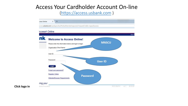## Access Your Cardholder Account On-line

### ([https://access.usbank.com](https://access.usbank.com/) )



**Click logo in**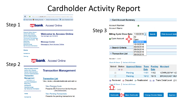## **Cardholder Activity Report**

 $\leftarrow$ *①* A https://access.usbank.com/cpsApp1/AxolComServlet2?requestCmdId=login

A Most Visited & Getting Started War Verizon business acco... A Labor Standards hom

### Step 1

#### **USbank** Access<sup>®</sup> Online

| <b>Request Status Queue</b>    |
|--------------------------------|
| <b>Active Work Queue</b>       |
| <b>System Administration</b>   |
| <b>Account Administration</b>  |
| <b>Transaction Management</b>  |
| <b>Account Information</b>     |
| Reporting                      |
| <b>Dashboard</b>               |
| Data Exchange                  |
| <b>My Personal Information</b> |
|                                |

**Welcome to Access Online** Your last login was 11/21/2016

#### **Message Center**

Message(s) from Access Online

#### Home

#### **Contact Us**

Training

#### **USbank** Access<sup>®</sup> Online

### Step 2

**Request Status Queue Active Work Queue System Administration Account Administration Transaction** 

#### **Management**

• Transaction List **Account Information Reporting Dashboard Data Exchange My Personal Information** 

### **Transaction Management**

**Transaction List** 

#### View, review, allocate/reallocate and add co

**View Previous Cycle** Presents the Transaction list for the prey View Previous Cycle

#### **View Pending Transactions** Presents the pending transactions list.

#### **⊡ Card Account Summary Account Number:**  $\bullet$ **Account Name:** Step 3 Billing Cycle Close Date: 11/08/2016 -**Print Account Activ Search** All o Open Account Open 11/08/2016 10/10/2016 09/08/2016 [+] Search Criteria 08/08/2016 07/08/2016 [-] Transaction List 06/08/2016

Records 1 - 2 of 2

#### Check All Shown | Uncheck All Shown

|   | (R) (D) | Select Status Approval Status Trans Posting Merchant | <b>Date</b> | <b>Date</b> |                              |
|---|---------|------------------------------------------------------|-------------|-------------|------------------------------|
|   |         | Pending                                              |             |             | 11/01  11/02  VZWRLSS*MY  VZ |
| П |         | Pending                                              |             |             | 10/12  10/13  BROADCAST MUS  |

**Reviewed Co Disputed A Reallocated M, M Trans Detail Level MU** 

Check All Shown | Uncheck All Shown  $-2$  of 2



**Approve** 

Home **Contact Us**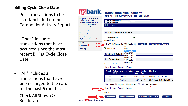## **Billing Cycle Close Date**

- Pulls transactions to be listed/included on the Cardholder Activity Report
- "Open" includes transactions that have occurred since the most recent Billing Cycle Close Date
- "All" includes all transactions that have been charged to the card for the past 6 months
- Check All Shown & Reallocate

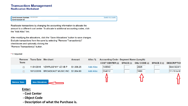#### **Transaction Management Reallocation Worksheet**

| Card Account Number: ************* | ACCOUNTS |
|------------------------------------|----------|
| <sup>1</sup> Card Account ID:      |          |

Reallocate transactions by changing the accounting information to allocate the amount to a different cost center. To allocate to additional accounting codes, click the "Add Alloc" link.

After modifying the allocations, click the "Save Allocations" button to save changes. Exclude transactions from the save by selecting "Remove Transaction(s)" checkboxes and optionally clicking the "Remove Transaction(s)" button.

#### $* = required$

|                     | <b>Remove</b> | <b>Trans Date Merchant</b> |                                | <b>Amount</b> | Alloc %          | <b>Accounting Code - Segment Name (Length)</b> |             |                     |              |                    |
|---------------------|---------------|----------------------------|--------------------------------|---------------|------------------|------------------------------------------------|-------------|---------------------|--------------|--------------------|
|                     | <b>Trans</b>  |                            |                                |               |                  | <b>COST CENTER (6)</b>                         | SPACE $(1)$ | <b>OBJ CODE (4)</b> | SPACE $2(1)$ | <b>DESCRIPTION</b> |
|                     |               | 11/01/2016                 | VZWRLSS*MY VZ VB P             | \$1,338.25    | <b>Add Alloc</b> | 140540                                         |             | 2025                |              | Stmt 9/24/1        |
|                     |               | 10/12/2016                 | BROADCAST MUSIC INC \$1,064.60 |               | <b>Add Alloc</b> | 334012                                         |             | 1860                |              | 7/1/16 to 6/       |
|                     |               |                            |                                |               |                  |                                                |             |                     |              |                    |
| <b>Remove Trans</b> |               | <b>Save Allocations</b>    |                                |               |                  |                                                |             |                     |              |                    |

- **Enter:**
- **- Cost Center**
- **- Object Code**
- **- Description of what the Purchase is.**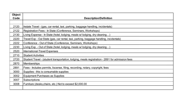| <b>Object</b> |                                                                                                 |  |  |  |  |
|---------------|-------------------------------------------------------------------------------------------------|--|--|--|--|
| Code          | <b>Description/Definition</b>                                                                   |  |  |  |  |
|               |                                                                                                 |  |  |  |  |
| 2120          | Instate Travel - (gas, car rental, taxi, parking, baggage handling, incidentals)                |  |  |  |  |
| 2122          | Registration Fees - In State (Conference, Seminars, Workshops)                                  |  |  |  |  |
| 2130          | Living Expense - In State (hotel, lodging, meals w/lodging, dry cleaning)                       |  |  |  |  |
| 2220          | Travel Exp - Out State (gas, car rental, taxi, parking, baggage handling, incidentals)          |  |  |  |  |
| 2222          | Conference - Out of State (Conference, Seminars, Workshops)                                     |  |  |  |  |
| 2230          | Living Exp. - Out of State (hotel, lodging, meals w/ lodging, dry cleaning)                     |  |  |  |  |
| 2520          | International-Travel Expenses                                                                   |  |  |  |  |
| 2710          | <b>Student Activities</b>                                                                       |  |  |  |  |
| 2720          | Student Travel - (student transportation, lodging, meals registration - 2891 for admission fees |  |  |  |  |
| 2870          | <b>Memberships</b>                                                                              |  |  |  |  |
| 2891          | Fees - Includes permits, liscense, filing, recording, notary, copyright, fees                   |  |  |  |  |
| 3000          | Supplies - this is consumable supplies                                                          |  |  |  |  |
| 3002          | Equipment Purchases as Supplies                                                                 |  |  |  |  |
| 3007          | Subscriptions                                                                                   |  |  |  |  |
| 3008          | Furniture (desks, chairs, etc.) Not to exceed \$2,000.00                                        |  |  |  |  |
|               |                                                                                                 |  |  |  |  |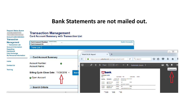## **Bank Statements are not mailed out.**

| <b>Request Status Queue</b><br><b>Active Work Queue</b><br><b>System Administration</b><br><b>Account Administration</b><br><b>Transaction</b> | <b>Transaction Management</b><br><b>Card Account Summary with Transaction List</b>   |                                                                                                                                                                                                                                     |                            |  |  |  |  |
|------------------------------------------------------------------------------------------------------------------------------------------------|--------------------------------------------------------------------------------------|-------------------------------------------------------------------------------------------------------------------------------------------------------------------------------------------------------------------------------------|----------------------------|--|--|--|--|
| <b>Management</b><br>• Transaction List                                                                                                        | Card Account Number: ************<br><b>Card Account ID:</b><br>$\sim$ $\sim$ $\sim$ | <b>Switch Accounts</b>                                                                                                                                                                                                              |                            |  |  |  |  |
| <b>Account Information</b><br><b>Reporting</b>                                                                                                 | Trans List                                                                           |                                                                                                                                                                                                                                     |                            |  |  |  |  |
| <b>Dashboard</b><br><b>Data Exchange</b><br><b>My Personal Information</b>                                                                     |                                                                                      | WebFOCUS Report<br>$\times$<br>÷                                                                                                                                                                                                    | $\Box$<br>$\sum$           |  |  |  |  |
|                                                                                                                                                | <b>⊡ Card Account Summary</b>                                                        | $C^{\prime}$ Q Search<br>☆<br>自<br>← O A https://access.usbank.com/cpsApp1/AxolComR<br>$\triangledown$                                                                                                                              | 侖                          |  |  |  |  |
| Home<br><b>Contact Us</b>                                                                                                                      | <b>Account Number:</b><br>$\bullet$<br><b>Account Name:</b>                          | $\square$<br>٥<br>$1$ of $1$<br>$\Omega$<br>Page:<br>Automatic Zoom ↓                                                                                                                                                               | ≫<br>ĿŘ.<br>IJ<br>Download |  |  |  |  |
| Training                                                                                                                                       | Billing Cycle Close Date: 11/08/2016 v                                               | <b>Usbank</b><br>Seard<br><b>Cardholder Activity</b>                                                                                                                                                                                |                            |  |  |  |  |
|                                                                                                                                                | Open Account                                                                         | <b>Name: 1</b><br><b>Instruct Date</b><br>Marchant Narr<br><b>City, State</b><br><b>Penting Date</b><br>BROADCAST MUSIC<br>1,064.80<br>10/12/2010<br>615-401-2405, TN<br>10/13/2018<br>\$1,064,60<br>234012 1880 7/1/16 to 6/30/11  |                            |  |  |  |  |
|                                                                                                                                                | [+] Search Criteria                                                                  | 1,238.25<br>VZWRLSSTWY VZ VB<br>\$1,338.25<br>11/01/2018<br>800-822-0204, GA<br>11/02/2018<br>\$1,238.25<br>140540 2025 Strd 9/24/16 to 10/22/16<br>Activity Totals<br>\$2,402.85<br>Prymerite<br>\$0.00<br>Purchases<br>\$2,402.85 |                            |  |  |  |  |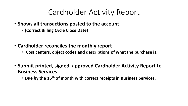## Cardholder Activity Report

- **Shows all transactions posted to the account** 
	- **(Correct Billing Cycle Close Date)**
- **Cardholder reconciles the monthly report**
	- **Cost centers, object codes and descriptions of what the purchase is.**
- **Submit printed, signed, approved Cardholder Activity Report to Business Services** 
	- **Due by the 15th of month with correct receipts in Business Services.**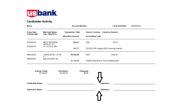

#### **Cardholder Activity**

| Name                              |                                           | <b>Account Number:</b>                               |                                                  | <b>Cycle End Date:</b> | 08/10/2015 |
|-----------------------------------|-------------------------------------------|------------------------------------------------------|--------------------------------------------------|------------------------|------------|
| Trans Date<br><b>Posting Date</b> | <b>Merchant Name</b><br>City, State/Prov. | <b>Transaction Total</b><br><b>Allocation Amount</b> | <b>Source Currency</b><br><b>Accounting Code</b> | <b>Currency Amount</b> |            |
| 07/29/2015                        | <b>BEST WESTERN</b><br>HOTELS - ST.       | \$93.27                                              | USD                                              | 93.27                  |            |
| 07/30/2015                        | ST. CLOUD, MN                             | \$93.27                                              | 215120 2130 Lodging 2015 Sourcing Summit         |                        |            |
| 08/01/2015                        | VZWRLSS*MY VZ VB<br>P                     | \$1,450.80                                           | USD                                              | 1,450.80               |            |
| 08/03/2015                        | 800-922-0204, GA                          | \$1,450.80                                           | 140540 2025 6/24 to 7/23/15 Billing Stmt         |                        |            |
|                                   |                                           |                                                      |                                                  |                        |            |

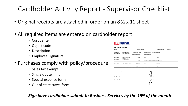## Cardholder Activity Report - Supervisor Checklist

- Original receipts are attached in order on an 8  $\frac{1}{2}$  x 11 sheet
- All required items are entered on cardholder report
	- Cost center
	- Object code
	- Description
	- Employee Signature

## • Purchases comply with policy/procedure

- Sales tax exempt
- Single quote limit
- Special expense form
- Out of state travel form

### **usbank**

| <b>Cardholder Activit</b> |  |
|---------------------------|--|
|---------------------------|--|

| Name                                     |                                           | <b>Account Number:</b>                               |                                                  | <b>Cycle End Date:</b> | 08/10/2015 |  |
|------------------------------------------|-------------------------------------------|------------------------------------------------------|--------------------------------------------------|------------------------|------------|--|
| <b>Trans Date</b><br><b>Posting Date</b> | <b>Merchant Name</b><br>City, State/Prov. | <b>Transaction Total</b><br><b>Allocation Amount</b> | <b>Source Currency</b><br><b>Accounting Code</b> | <b>Currency Amount</b> |            |  |
| 07/29/2015                               | <b>BEST WESTERN</b><br>HOTELS - ST.       | \$93.27                                              | <b>USD</b>                                       | 93.27                  |            |  |
| 07/30/2015                               | ST. CLOUD, MN                             | \$93.27                                              | 215120 2130 Lodging 2015 Sourcing Summit         |                        |            |  |
| 08/01/2015                               | VZWRLSS*MY VZ VB<br>P                     | \$1,450.80                                           | <b>USD</b>                                       | 1.450.80               |            |  |
| 08/03/2015<br>800-922-0204, GA           |                                           | \$1,450.80                                           | 140540 2025 6/24 to 7/23/15 Billing Stmt         |                        |            |  |



### *Sign have cardholder submit to Business Services by the 15th of the month*